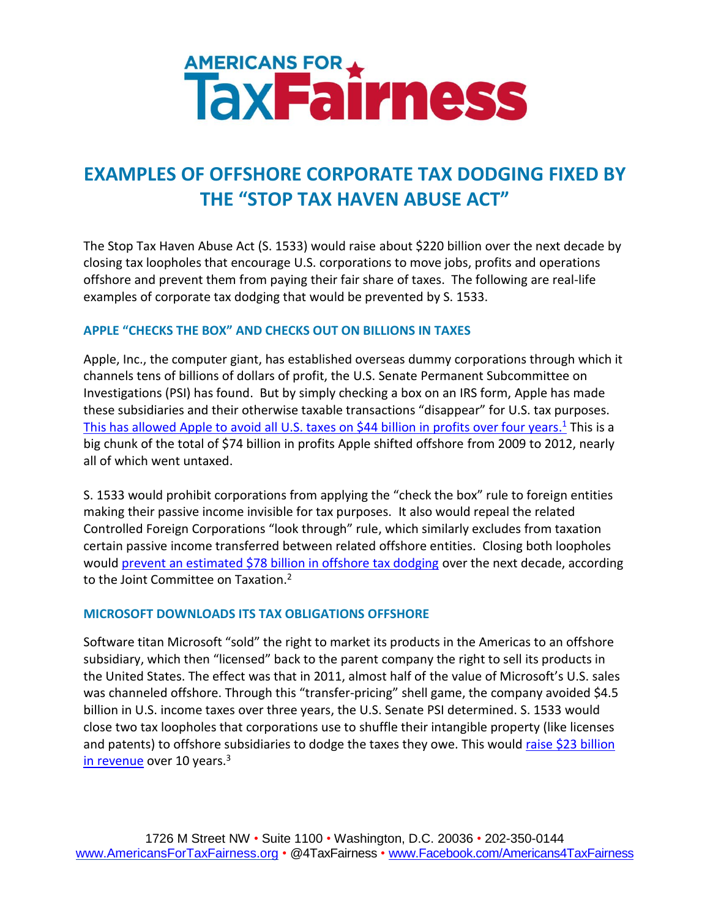

# **EXAMPLES OF OFFSHORE CORPORATE TAX DODGING FIXED BY THE "STOP TAX HAVEN ABUSE ACT"**

The Stop Tax Haven Abuse Act (S. 1533) would raise about \$220 billion over the next decade by closing tax loopholes that encourage U.S. corporations to move jobs, profits and operations offshore and prevent them from paying their fair share of taxes. The following are real-life examples of corporate tax dodging that would be prevented by S. 1533.

# **APPLE "CHECKS THE BOX" AND CHECKS OUT ON BILLIONS IN TAXES**

Apple, Inc., the computer giant, has established overseas dummy corporations through which it channels tens of billions of dollars of profit, the U.S. Senate Permanent Subcommittee on Investigations (PSI) has found. But by simply checking a box on an IRS form, Apple has made these subsidiaries and their otherwise taxable transactions "disappear" for U.S. tax purposes. [This has allowed Apple to avoid all U.S. taxes on \\$44 billion in profits over four years.](http://www.levin.senate.gov/download/?id=fc514a8c-5890-47c4-ba7c-149e4a8474c2)<sup>1</sup> This is a big chunk of the total of \$74 billion in profits Apple shifted offshore from 2009 to 2012, nearly all of which went untaxed.

S. 1533 would prohibit corporations from applying the "check the box" rule to foreign entities making their passive income invisible for tax purposes. It also would repeal the related Controlled Foreign Corporations "look through" rule, which similarly excludes from taxation certain passive income transferred between related offshore entities. Closing both loopholes would [prevent an estimated \\$78 billion in offshore tax dodging](http://www.levin.senate.gov/newsroom/speeches/speech/senate-floor-statement-on-introducing-the-stop-tax-haven-abuse-act#sthash.Y0uF2y37.dpuf) over the next decade, according to the Joint Committee on Taxation.<sup>2</sup>

# **MICROSOFT DOWNLOADS ITS TAX OBLIGATIONS OFFSHORE**

Software titan Microsoft "sold" the right to market its products in the Americas to an offshore subsidiary, which then "licensed" back to the parent company the right to sell its products in the United States. The effect was that in 2011, almost half of the value of Microsoft's U.S. sales was channeled offshore. Through this "transfer-pricing" shell game, the company avoided \$4.5 billion in U.S. income taxes over three years, the U.S. Senate PSI determined. S. 1533 would close two tax loopholes that corporations use to shuffle their intangible property (like licenses and patents) to offshore subsidiaries to dodge the taxes they owe. This would raise \$23 billion [in revenue](http://www.levin.senate.gov/newsroom/speeches/speech/senate-floor-statement-on-introducing-the-stop-tax-haven-abuse-act) over 10 years.<sup>3</sup>